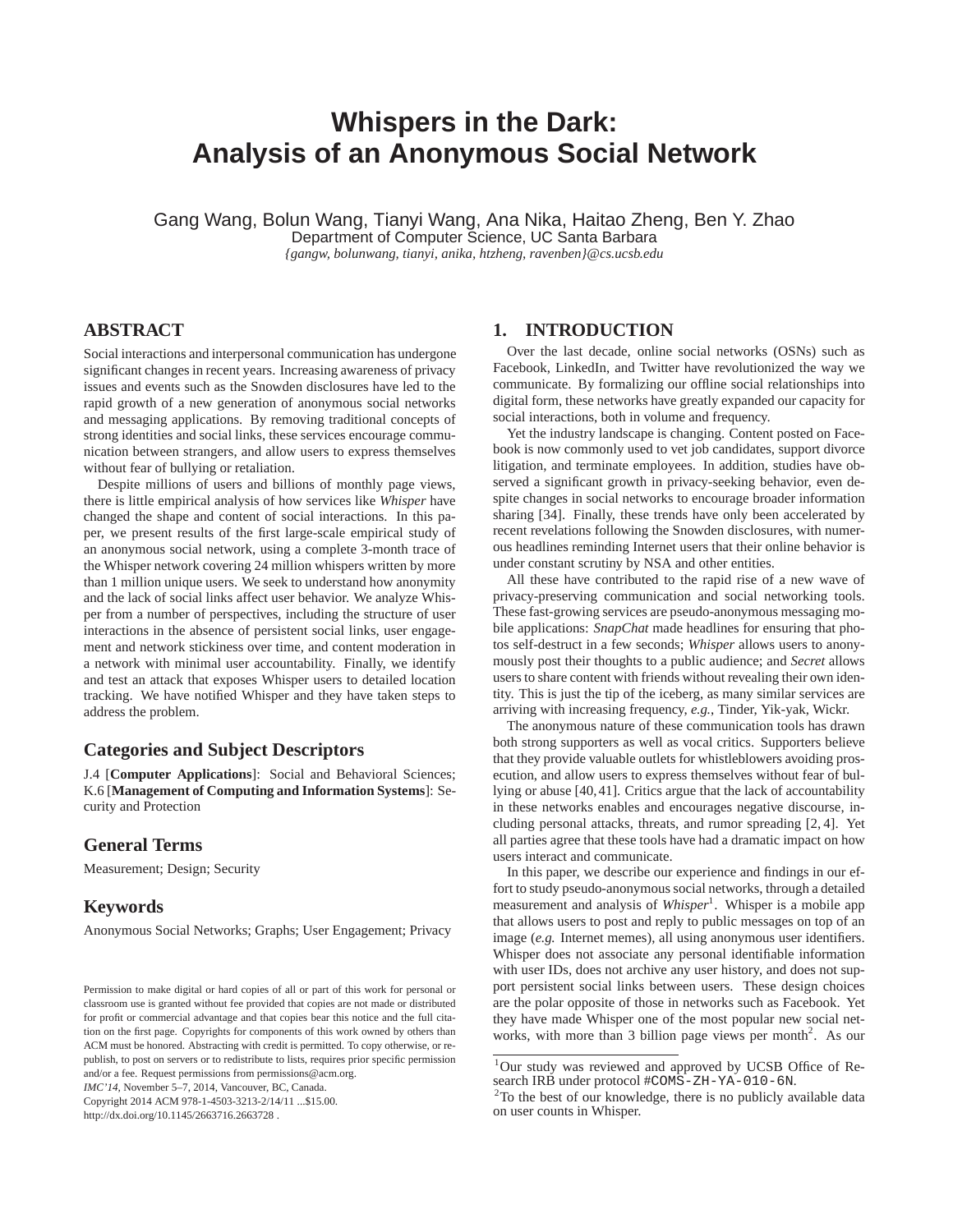# **Whispers in the Dark: Analysis of an Anonymous Social Network**

Gang Wang, Bolun Wang, Tianyi Wang, Ana Nika, Haitao Zheng, Ben Y. Zhao

Department of Computer Science, UC Santa Barbara

*{gangw, bolunwang, tianyi, anika, htzheng, ravenben}@cs.ucsb.edu*

# **ABSTRACT**

Social interactions and interpersonal communication has undergone significant changes in recent years. Increasing awareness of privacy issues and events such as the Snowden disclosures have led to the rapid growth of a new generation of anonymous social networks and messaging applications. By removing traditional concepts of strong identities and social links, these services encourage communication between strangers, and allow users to express themselves without fear of bullying or retaliation.

Despite millions of users and billions of monthly page views, there is little empirical analysis of how services like *Whisper* have changed the shape and content of social interactions. In this paper, we present results of the first large-scale empirical study of an anonymous social network, using a complete 3-month trace of the Whisper network covering 24 million whispers written by more than 1 million unique users. We seek to understand how anonymity and the lack of social links affect user behavior. We analyze Whisper from a number of perspectives, including the structure of user interactions in the absence of persistent social links, user engagement and network stickiness over time, and content moderation in a network with minimal user accountability. Finally, we identify and test an attack that exposes Whisper users to detailed location tracking. We have notified Whisper and they have taken steps to address the problem.

## **Categories and Subject Descriptors**

J.4 [**Computer Applications**]: Social and Behavioral Sciences; K.6 [**Management of Computing and Information Systems**]: Security and Protection

## **General Terms**

Measurement; Design; Security

## **Keywords**

Anonymous Social Networks; Graphs; User Engagement; Privacy

*IMC'14,* November 5–7, 2014, Vancouver, BC, Canada.

Copyright 2014 ACM 978-1-4503-3213-2/14/11 ...\$15.00.

http://dx.doi.org/10.1145/2663716.2663728 .

# **1. INTRODUCTION**

Over the last decade, online social networks (OSNs) such as Facebook, LinkedIn, and Twitter have revolutionized the way we communicate. By formalizing our offline social relationships into digital form, these networks have greatly expanded our capacity for social interactions, both in volume and frequency.

Yet the industry landscape is changing. Content posted on Facebook is now commonly used to vet job candidates, support divorce litigation, and terminate employees. In addition, studies have observed a significant growth in privacy-seeking behavior, even despite changes in social networks to encourage broader information sharing [34]. Finally, these trends have only been accelerated by recent revelations following the Snowden disclosures, with numerous headlines reminding Internet users that their online behavior is under constant scrutiny by NSA and other entities.

All these have contributed to the rapid rise of a new wave of privacy-preserving communication and social networking tools. These fast-growing services are pseudo-anonymous messaging mobile applications: *SnapChat* made headlines for ensuring that photos self-destruct in a few seconds; *Whisper* allows users to anonymously post their thoughts to a public audience; and *Secret* allows users to share content with friends without revealing their own identity. This is just the tip of the iceberg, as many similar services are arriving with increasing frequency, *e.g.*, Tinder, Yik-yak, Wickr.

The anonymous nature of these communication tools has drawn both strong supporters as well as vocal critics. Supporters believe that they provide valuable outlets for whistleblowers avoiding prosecution, and allow users to express themselves without fear of bullying or abuse [40,41]. Critics argue that the lack of accountability in these networks enables and encourages negative discourse, including personal attacks, threats, and rumor spreading [2, 4]. Yet all parties agree that these tools have had a dramatic impact on how users interact and communicate.

In this paper, we describe our experience and findings in our effort to study pseudo-anonymous social networks, through a detailed measurement and analysis of *Whisper*<sup>1</sup>. Whisper is a mobile app that allows users to post and reply to public messages on top of an image (*e.g.* Internet memes), all using anonymous user identifiers. Whisper does not associate any personal identifiable information with user IDs, does not archive any user history, and does not support persistent social links between users. These design choices are the polar opposite of those in networks such as Facebook. Yet they have made Whisper one of the most popular new social networks, with more than 3 billion page views per month<sup>2</sup>. As our

Permission to make digital or hard copies of all or part of this work for personal or classroom use is granted without fee provided that copies are not made or distributed for profit or commercial advantage and that copies bear this notice and the full citation on the first page. Copyrights for components of this work owned by others than ACM must be honored. Abstracting with credit is permitted. To copy otherwise, or republish, to post on servers or to redistribute to lists, requires prior specific permission and/or a fee. Request permissions from permissions@acm.org.

<sup>&</sup>lt;sup>1</sup>Our study was reviewed and approved by UCSB Office of Research IRB under protocol #COMS-ZH-YA-010-6N.

 $2$ To the best of our knowledge, there is no publicly available data on user counts in Whisper.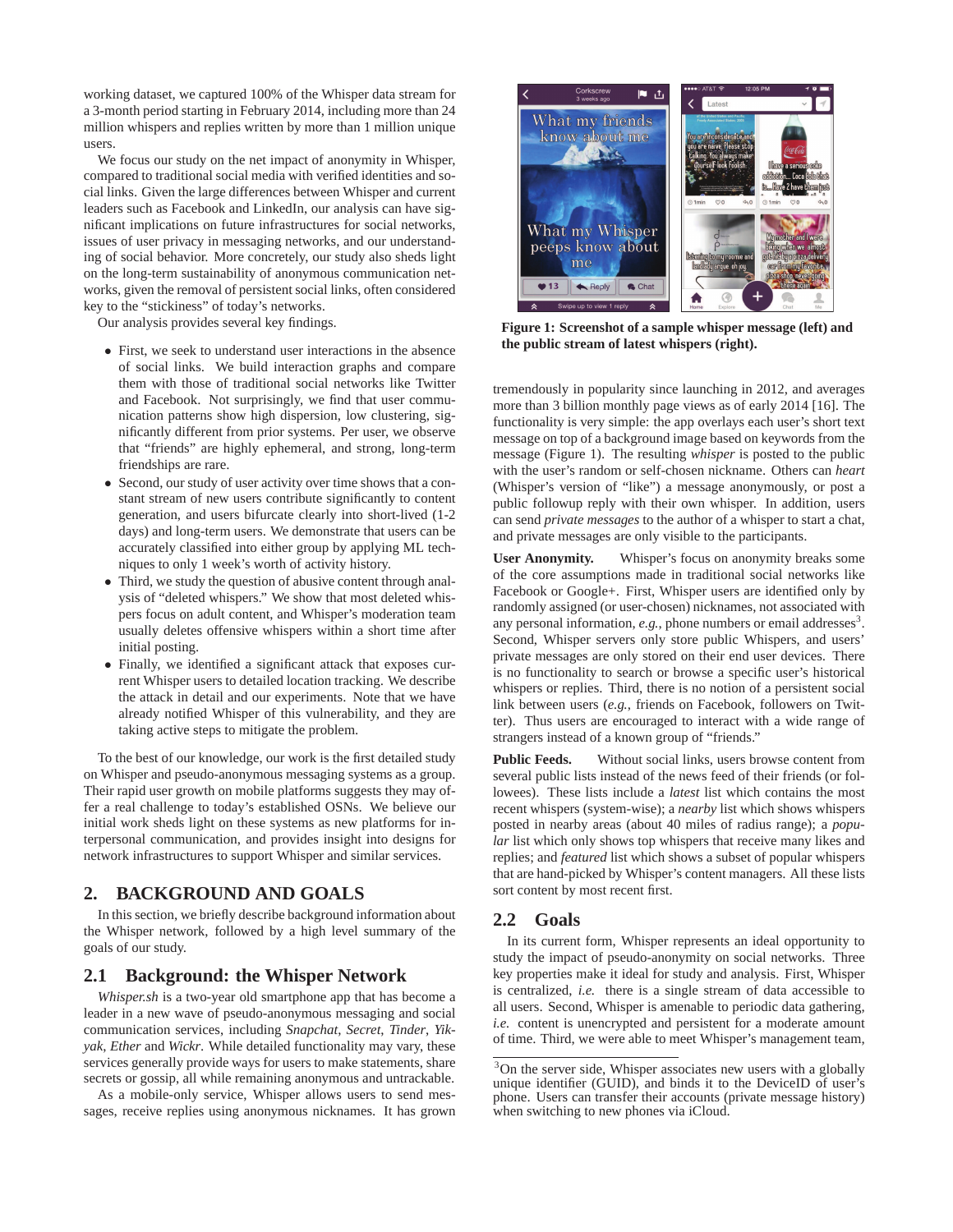working dataset, we captured 100% of the Whisper data stream for a 3-month period starting in February 2014, including more than 24 million whispers and replies written by more than 1 million unique users.

We focus our study on the net impact of anonymity in Whisper, compared to traditional social media with verified identities and social links. Given the large differences between Whisper and current leaders such as Facebook and LinkedIn, our analysis can have significant implications on future infrastructures for social networks, issues of user privacy in messaging networks, and our understanding of social behavior. More concretely, our study also sheds light on the long-term sustainability of anonymous communication networks, given the removal of persistent social links, often considered key to the "stickiness" of today's networks.

Our analysis provides several key findings.

- First, we seek to understand user interactions in the absence of social links. We build interaction graphs and compare them with those of traditional social networks like Twitter and Facebook. Not surprisingly, we find that user communication patterns show high dispersion, low clustering, significantly different from prior systems. Per user, we observe that "friends" are highly ephemeral, and strong, long-term friendships are rare.
- Second, our study of user activity over time shows that a constant stream of new users contribute significantly to content generation, and users bifurcate clearly into short-lived (1-2 days) and long-term users. We demonstrate that users can be accurately classified into either group by applying ML techniques to only 1 week's worth of activity history.
- Third, we study the question of abusive content through analysis of "deleted whispers." We show that most deleted whispers focus on adult content, and Whisper's moderation team usually deletes offensive whispers within a short time after initial posting.
- Finally, we identified a significant attack that exposes current Whisper users to detailed location tracking. We describe the attack in detail and our experiments. Note that we have already notified Whisper of this vulnerability, and they are taking active steps to mitigate the problem.

To the best of our knowledge, our work is the first detailed study on Whisper and pseudo-anonymous messaging systems as a group. Their rapid user growth on mobile platforms suggests they may offer a real challenge to today's established OSNs. We believe our initial work sheds light on these systems as new platforms for interpersonal communication, and provides insight into designs for network infrastructures to support Whisper and similar services.

# **2. BACKGROUND AND GOALS**

In this section, we briefly describe background information about the Whisper network, followed by a high level summary of the goals of our study.

### **2.1 Background: the Whisper Network**

*Whisper.sh* is a two-year old smartphone app that has become a leader in a new wave of pseudo-anonymous messaging and social communication services, including *Snapchat*, *Secret*, *Tinder*, *Yikyak*, *Ether* and *Wickr*. While detailed functionality may vary, these services generally provide ways for users to make statements, share secrets or gossip, all while remaining anonymous and untrackable.

As a mobile-only service, Whisper allows users to send messages, receive replies using anonymous nicknames. It has grown



**Figure 1: Screenshot of a sample whisper message (left) and the public stream of latest whispers (right).**

tremendously in popularity since launching in 2012, and averages more than 3 billion monthly page views as of early 2014 [16]. The functionality is very simple: the app overlays each user's short text message on top of a background image based on keywords from the message (Figure 1). The resulting *whisper* is posted to the public with the user's random or self-chosen nickname. Others can *heart* (Whisper's version of "like") a message anonymously, or post a public followup reply with their own whisper. In addition, users can send *private messages* to the author of a whisper to start a chat, and private messages are only visible to the participants.

**User Anonymity.** Whisper's focus on anonymity breaks some of the core assumptions made in traditional social networks like Facebook or Google+. First, Whisper users are identified only by randomly assigned (or user-chosen) nicknames, not associated with any personal information,  $e.g.,$  phone numbers or email addresses<sup>3</sup>. Second, Whisper servers only store public Whispers, and users' private messages are only stored on their end user devices. There is no functionality to search or browse a specific user's historical whispers or replies. Third, there is no notion of a persistent social link between users (*e.g.*, friends on Facebook, followers on Twitter). Thus users are encouraged to interact with a wide range of strangers instead of a known group of "friends."

**Public Feeds.** Without social links, users browse content from several public lists instead of the news feed of their friends (or followees). These lists include a *latest* list which contains the most recent whispers (system-wise); a *nearby* list which shows whispers posted in nearby areas (about 40 miles of radius range); a *popular* list which only shows top whispers that receive many likes and replies; and *featured* list which shows a subset of popular whispers that are hand-picked by Whisper's content managers. All these lists sort content by most recent first.

## **2.2 Goals**

In its current form, Whisper represents an ideal opportunity to study the impact of pseudo-anonymity on social networks. Three key properties make it ideal for study and analysis. First, Whisper is centralized, *i.e.* there is a single stream of data accessible to all users. Second, Whisper is amenable to periodic data gathering, *i.e.* content is unencrypted and persistent for a moderate amount of time. Third, we were able to meet Whisper's management team,

<sup>3</sup>On the server side, Whisper associates new users with a globally unique identifier (GUID), and binds it to the DeviceID of user's phone. Users can transfer their accounts (private message history) when switching to new phones via iCloud.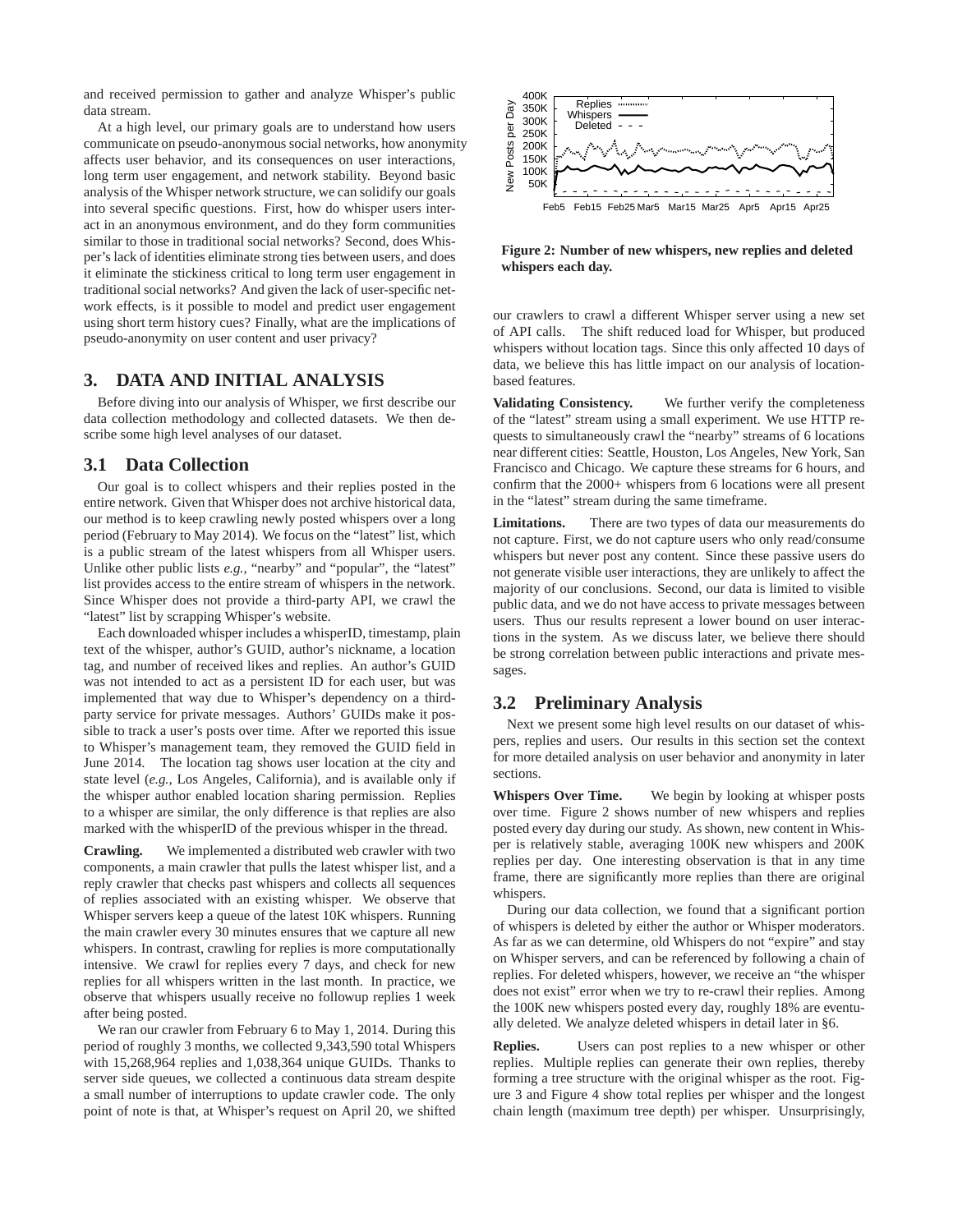and received permission to gather and analyze Whisper's public data stream.

At a high level, our primary goals are to understand how users communicate on pseudo-anonymous social networks, how anonymity affects user behavior, and its consequences on user interactions, long term user engagement, and network stability. Beyond basic analysis of the Whisper network structure, we can solidify our goals into several specific questions. First, how do whisper users interact in an anonymous environment, and do they form communities similar to those in traditional social networks? Second, does Whisper's lack of identities eliminate strong ties between users, and does it eliminate the stickiness critical to long term user engagement in traditional social networks? And given the lack of user-specific network effects, is it possible to model and predict user engagement using short term history cues? Finally, what are the implications of pseudo-anonymity on user content and user privacy?

# **3. DATA AND INITIAL ANALYSIS**

Before diving into our analysis of Whisper, we first describe our data collection methodology and collected datasets. We then describe some high level analyses of our dataset.

### **3.1 Data Collection**

Our goal is to collect whispers and their replies posted in the entire network. Given that Whisper does not archive historical data, our method is to keep crawling newly posted whispers over a long period (February to May 2014). We focus on the "latest" list, which is a public stream of the latest whispers from all Whisper users. Unlike other public lists *e.g.*, "nearby" and "popular", the "latest" list provides access to the entire stream of whispers in the network. Since Whisper does not provide a third-party API, we crawl the "latest" list by scrapping Whisper's website.

Each downloaded whisper includes a whisperID, timestamp, plain text of the whisper, author's GUID, author's nickname, a location tag, and number of received likes and replies. An author's GUID was not intended to act as a persistent ID for each user, but was implemented that way due to Whisper's dependency on a thirdparty service for private messages. Authors' GUIDs make it possible to track a user's posts over time. After we reported this issue to Whisper's management team, they removed the GUID field in June 2014. The location tag shows user location at the city and state level (*e.g.*, Los Angeles, California), and is available only if the whisper author enabled location sharing permission. Replies to a whisper are similar, the only difference is that replies are also marked with the whisperID of the previous whisper in the thread.

**Crawling.** We implemented a distributed web crawler with two components, a main crawler that pulls the latest whisper list, and a reply crawler that checks past whispers and collects all sequences of replies associated with an existing whisper. We observe that Whisper servers keep a queue of the latest 10K whispers. Running the main crawler every 30 minutes ensures that we capture all new whispers. In contrast, crawling for replies is more computationally intensive. We crawl for replies every 7 days, and check for new replies for all whispers written in the last month. In practice, we observe that whispers usually receive no followup replies 1 week after being posted.

We ran our crawler from February 6 to May 1, 2014. During this period of roughly 3 months, we collected 9,343,590 total Whispers with 15,268,964 replies and 1,038,364 unique GUIDs. Thanks to server side queues, we collected a continuous data stream despite a small number of interruptions to update crawler code. The only point of note is that, at Whisper's request on April 20, we shifted



#### **Figure 2: Number of new whispers, new replies and deleted whispers each day.**

our crawlers to crawl a different Whisper server using a new set of API calls. The shift reduced load for Whisper, but produced whispers without location tags. Since this only affected 10 days of data, we believe this has little impact on our analysis of locationbased features.

**Validating Consistency.** We further verify the completeness of the "latest" stream using a small experiment. We use HTTP requests to simultaneously crawl the "nearby" streams of 6 locations near different cities: Seattle, Houston, Los Angeles, New York, San Francisco and Chicago. We capture these streams for 6 hours, and confirm that the 2000+ whispers from 6 locations were all present in the "latest" stream during the same timeframe.

**Limitations.** There are two types of data our measurements do not capture. First, we do not capture users who only read/consume whispers but never post any content. Since these passive users do not generate visible user interactions, they are unlikely to affect the majority of our conclusions. Second, our data is limited to visible public data, and we do not have access to private messages between users. Thus our results represent a lower bound on user interactions in the system. As we discuss later, we believe there should be strong correlation between public interactions and private messages.

### **3.2 Preliminary Analysis**

Next we present some high level results on our dataset of whispers, replies and users. Our results in this section set the context for more detailed analysis on user behavior and anonymity in later sections.

**Whispers Over Time.** We begin by looking at whisper posts over time. Figure 2 shows number of new whispers and replies posted every day during our study. As shown, new content in Whisper is relatively stable, averaging 100K new whispers and 200K replies per day. One interesting observation is that in any time frame, there are significantly more replies than there are original whispers.

During our data collection, we found that a significant portion of whispers is deleted by either the author or Whisper moderators. As far as we can determine, old Whispers do not "expire" and stay on Whisper servers, and can be referenced by following a chain of replies. For deleted whispers, however, we receive an "the whisper does not exist" error when we try to re-crawl their replies. Among the 100K new whispers posted every day, roughly 18% are eventually deleted. We analyze deleted whispers in detail later in §6.

**Replies.** Users can post replies to a new whisper or other replies. Multiple replies can generate their own replies, thereby forming a tree structure with the original whisper as the root. Figure 3 and Figure 4 show total replies per whisper and the longest chain length (maximum tree depth) per whisper. Unsurprisingly,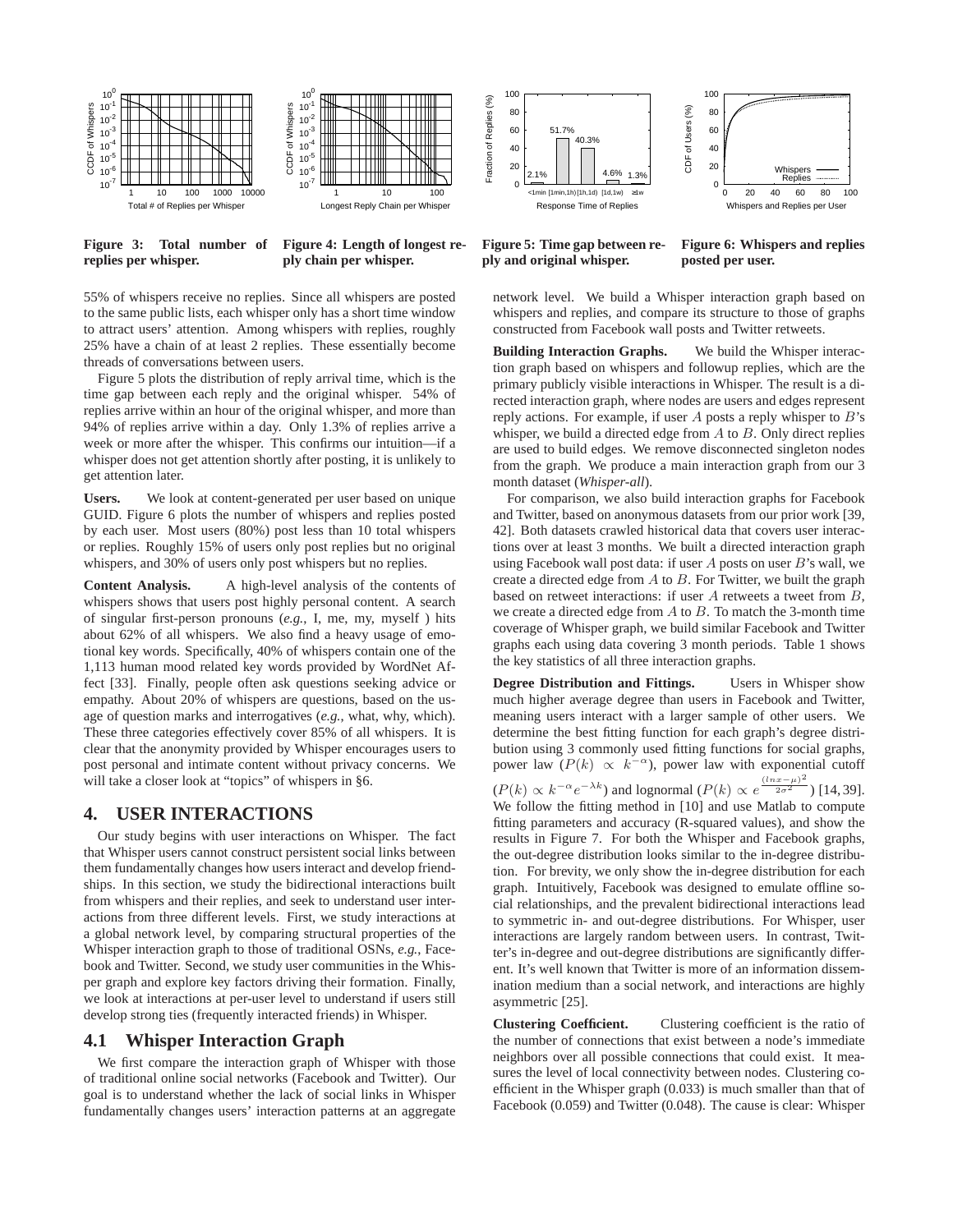

**Figure 3: Total number of replies per whisper. Figure 4: Length of longest reply chain per whisper.**

55% of whispers receive no replies. Since all whispers are posted to the same public lists, each whisper only has a short time window to attract users' attention. Among whispers with replies, roughly 25% have a chain of at least 2 replies. These essentially become threads of conversations between users.

Figure 5 plots the distribution of reply arrival time, which is the time gap between each reply and the original whisper. 54% of replies arrive within an hour of the original whisper, and more than 94% of replies arrive within a day. Only 1.3% of replies arrive a week or more after the whisper. This confirms our intuition—if a whisper does not get attention shortly after posting, it is unlikely to get attention later.

**Users.** We look at content-generated per user based on unique GUID. Figure 6 plots the number of whispers and replies posted by each user. Most users (80%) post less than 10 total whispers or replies. Roughly 15% of users only post replies but no original whispers, and 30% of users only post whispers but no replies.

**Content Analysis.** A high-level analysis of the contents of whispers shows that users post highly personal content. A search of singular first-person pronouns (*e.g.*, I, me, my, myself ) hits about 62% of all whispers. We also find a heavy usage of emotional key words. Specifically, 40% of whispers contain one of the 1,113 human mood related key words provided by WordNet Affect [33]. Finally, people often ask questions seeking advice or empathy. About 20% of whispers are questions, based on the usage of question marks and interrogatives (*e.g.*, what, why, which). These three categories effectively cover 85% of all whispers. It is clear that the anonymity provided by Whisper encourages users to post personal and intimate content without privacy concerns. We will take a closer look at "topics" of whispers in §6.

### **4. USER INTERACTIONS**

Our study begins with user interactions on Whisper. The fact that Whisper users cannot construct persistent social links between them fundamentally changes how users interact and develop friendships. In this section, we study the bidirectional interactions built from whispers and their replies, and seek to understand user interactions from three different levels. First, we study interactions at a global network level, by comparing structural properties of the Whisper interaction graph to those of traditional OSNs, *e.g.*, Facebook and Twitter. Second, we study user communities in the Whisper graph and explore key factors driving their formation. Finally, we look at interactions at per-user level to understand if users still develop strong ties (frequently interacted friends) in Whisper.

## **4.1 Whisper Interaction Graph**

We first compare the interaction graph of Whisper with those of traditional online social networks (Facebook and Twitter). Our goal is to understand whether the lack of social links in Whisper fundamentally changes users' interaction patterns at an aggregate



**Figure 5: Time gap between reply and original whisper.**

**Figure 6: Whispers and replies posted per user.**

network level. We build a Whisper interaction graph based on whispers and replies, and compare its structure to those of graphs constructed from Facebook wall posts and Twitter retweets.

**Building Interaction Graphs.** We build the Whisper interaction graph based on whispers and followup replies, which are the primary publicly visible interactions in Whisper. The result is a directed interaction graph, where nodes are users and edges represent reply actions. For example, if user  $A$  posts a reply whisper to  $B$ 's whisper, we build a directed edge from  $A$  to  $B$ . Only direct replies are used to build edges. We remove disconnected singleton nodes from the graph. We produce a main interaction graph from our 3 month dataset (*Whisper-all*).

For comparison, we also build interaction graphs for Facebook and Twitter, based on anonymous datasets from our prior work [39, 42]. Both datasets crawled historical data that covers user interactions over at least 3 months. We built a directed interaction graph using Facebook wall post data: if user A posts on user B's wall, we create a directed edge from  $A$  to  $B$ . For Twitter, we built the graph based on retweet interactions: if user A retweets a tweet from B, we create a directed edge from  $A$  to  $B$ . To match the 3-month time coverage of Whisper graph, we build similar Facebook and Twitter graphs each using data covering 3 month periods. Table 1 shows the key statistics of all three interaction graphs.

**Degree Distribution and Fittings.** Users in Whisper show much higher average degree than users in Facebook and Twitter, meaning users interact with a larger sample of other users. We determine the best fitting function for each graph's degree distribution using 3 commonly used fitting functions for social graphs, power law  $(P(k) \propto k^{-\alpha})$ , power law with exponential cutoff  $(P(k) \propto k^{-\alpha} e^{-\lambda k})$  and lognormal  $(P(k) \propto e^{\frac{(ln x - \mu)^2}{2\sigma^2}})$  [14, 39]. We follow the fitting method in [10] and use Matlab to compute fitting parameters and accuracy (R-squared values), and show the results in Figure 7. For both the Whisper and Facebook graphs, the out-degree distribution looks similar to the in-degree distribution. For brevity, we only show the in-degree distribution for each graph. Intuitively, Facebook was designed to emulate offline social relationships, and the prevalent bidirectional interactions lead to symmetric in- and out-degree distributions. For Whisper, user interactions are largely random between users. In contrast, Twitter's in-degree and out-degree distributions are significantly different. It's well known that Twitter is more of an information dissemination medium than a social network, and interactions are highly asymmetric [25].

**Clustering Coefficient.** Clustering coefficient is the ratio of the number of connections that exist between a node's immediate neighbors over all possible connections that could exist. It measures the level of local connectivity between nodes. Clustering coefficient in the Whisper graph (0.033) is much smaller than that of Facebook (0.059) and Twitter (0.048). The cause is clear: Whisper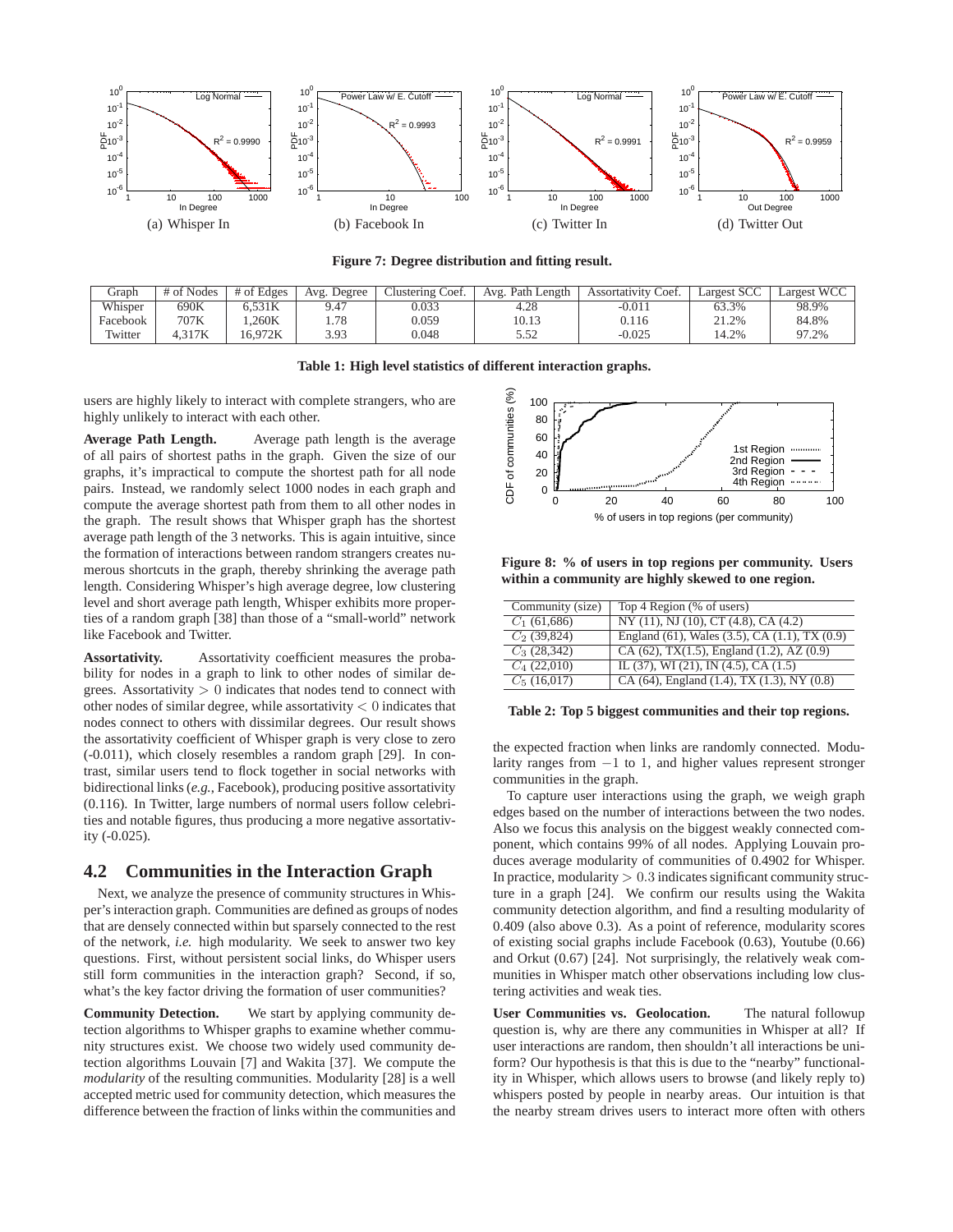

**Figure 7: Degree distribution and fitting result.**

| Graph    | # of Nodes | # of Edges | Avg. Degree | Clustering Coef. | Path Length<br>Avg. $_1$ | Coef<br>Assortativity ( | Largest SCC | Largest WCC |
|----------|------------|------------|-------------|------------------|--------------------------|-------------------------|-------------|-------------|
| Whisper  | 690K       | 531K       | 9.47        | 0.033            | 4.28                     | $-0.01$                 | 63.3%       | 98.9%       |
| Facebook | 707K       | .260K      | 1.78        | 0.059            | 10.13                    | 0.116                   | 21.2%       | 84.8%       |
| Twitter  | 4.317K     | 16.972K    | 3.93        | 0.048            | 5.52                     | $-0.025$                | 14.2%       | 97.2%       |



users are highly likely to interact with complete strangers, who are highly unlikely to interact with each other.

**Average Path Length.** Average path length is the average of all pairs of shortest paths in the graph. Given the size of our graphs, it's impractical to compute the shortest path for all node pairs. Instead, we randomly select 1000 nodes in each graph and compute the average shortest path from them to all other nodes in the graph. The result shows that Whisper graph has the shortest average path length of the 3 networks. This is again intuitive, since the formation of interactions between random strangers creates numerous shortcuts in the graph, thereby shrinking the average path length. Considering Whisper's high average degree, low clustering level and short average path length, Whisper exhibits more properties of a random graph [38] than those of a "small-world" network like Facebook and Twitter.

**Assortativity.** Assortativity coefficient measures the probability for nodes in a graph to link to other nodes of similar degrees. Assortativity  $> 0$  indicates that nodes tend to connect with other nodes of similar degree, while assortativity  $\lt 0$  indicates that nodes connect to others with dissimilar degrees. Our result shows the assortativity coefficient of Whisper graph is very close to zero (-0.011), which closely resembles a random graph [29]. In contrast, similar users tend to flock together in social networks with bidirectional links (*e.g.*, Facebook), producing positive assortativity (0.116). In Twitter, large numbers of normal users follow celebrities and notable figures, thus producing a more negative assortativity (-0.025).

## **4.2 Communities in the Interaction Graph**

Next, we analyze the presence of community structures in Whisper's interaction graph. Communities are defined as groups of nodes that are densely connected within but sparsely connected to the rest of the network, *i.e.* high modularity. We seek to answer two key questions. First, without persistent social links, do Whisper users still form communities in the interaction graph? Second, if so, what's the key factor driving the formation of user communities?

**Community Detection.** We start by applying community detection algorithms to Whisper graphs to examine whether community structures exist. We choose two widely used community detection algorithms Louvain [7] and Wakita [37]. We compute the *modularity* of the resulting communities. Modularity [28] is a well accepted metric used for community detection, which measures the difference between the fraction of links within the communities and



**Figure 8: % of users in top regions per community. Users within a community are highly skewed to one region.**

| Community (size) | Top 4 Region (% of users)                     |
|------------------|-----------------------------------------------|
| $C_1$ (61,686)   | NY (11), NJ (10), CT (4.8), CA (4.2)          |
| $C_2$ (39,824)   | England (61), Wales (3.5), CA (1.1), TX (0.9) |
| $C_3(28,342)$    | $CA(62), TX(1.5), England(1.2), AZ(0.9)$      |
| $C_4(22,010)$    | IL (37), WI (21), IN (4.5), CA (1.5)          |
| $C_5$ (16,017)   | CA (64), England (1.4), TX (1.3), NY (0.8)    |

#### **Table 2: Top 5 biggest communities and their top regions.**

the expected fraction when links are randomly connected. Modularity ranges from −1 to 1, and higher values represent stronger communities in the graph.

To capture user interactions using the graph, we weigh graph edges based on the number of interactions between the two nodes. Also we focus this analysis on the biggest weakly connected component, which contains 99% of all nodes. Applying Louvain produces average modularity of communities of 0.4902 for Whisper. In practice, modularity  $> 0.3$  indicates significant community structure in a graph [24]. We confirm our results using the Wakita community detection algorithm, and find a resulting modularity of 0.409 (also above 0.3). As a point of reference, modularity scores of existing social graphs include Facebook (0.63), Youtube (0.66) and Orkut (0.67) [24]. Not surprisingly, the relatively weak communities in Whisper match other observations including low clustering activities and weak ties.

**User Communities vs. Geolocation.** The natural followup question is, why are there any communities in Whisper at all? If user interactions are random, then shouldn't all interactions be uniform? Our hypothesis is that this is due to the "nearby" functionality in Whisper, which allows users to browse (and likely reply to) whispers posted by people in nearby areas. Our intuition is that the nearby stream drives users to interact more often with others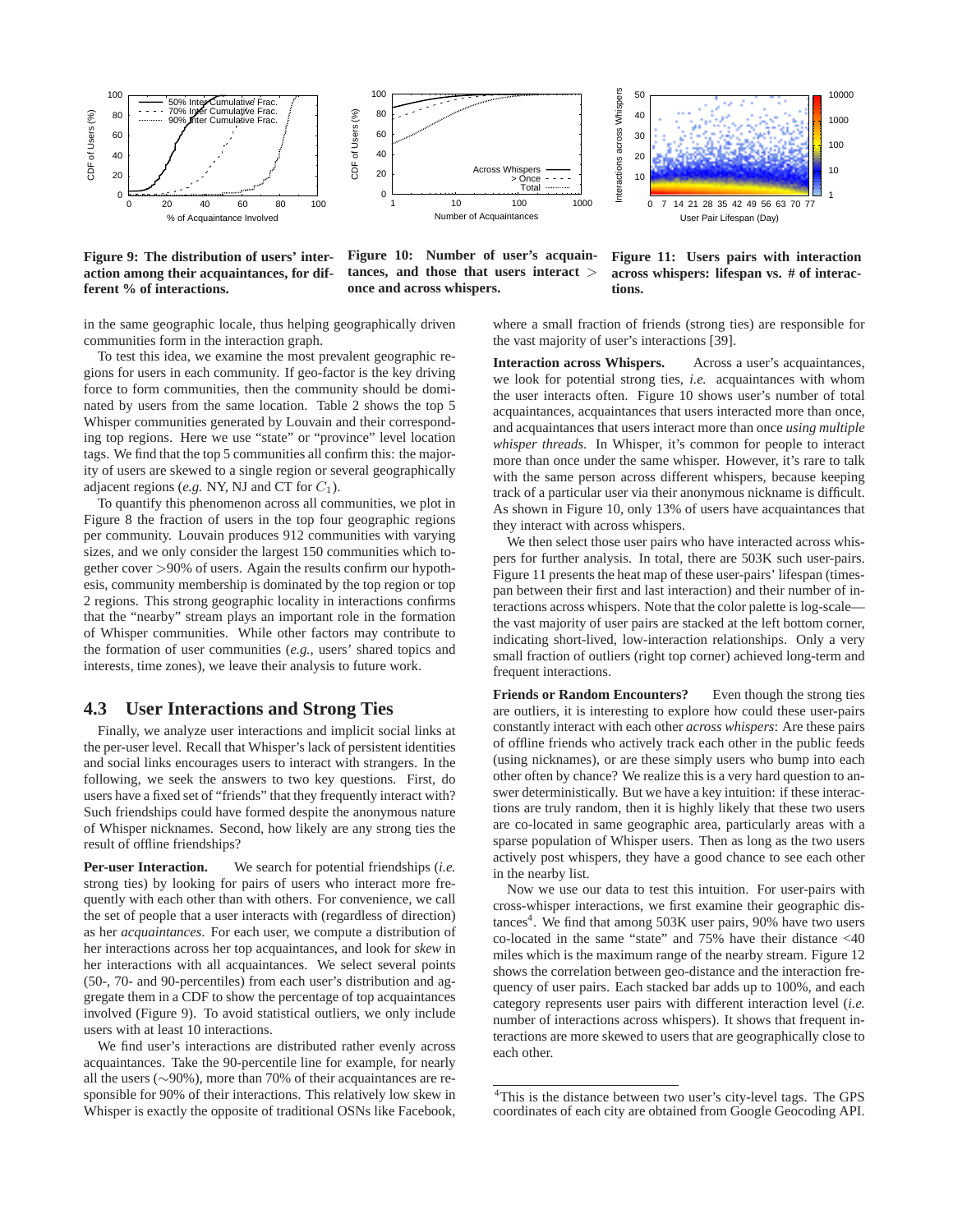

**Figure 9: The distribution of users' interaction among their acquaintances, for different % of interactions.**

**tances, and those that users interact** > **once and across whispers.**

**Figure 10: Number of user's acquain-**

**Figure 11: Users pairs with interaction across whispers: lifespan vs. # of interactions.**

in the same geographic locale, thus helping geographically driven communities form in the interaction graph.

To test this idea, we examine the most prevalent geographic regions for users in each community. If geo-factor is the key driving force to form communities, then the community should be dominated by users from the same location. Table 2 shows the top 5 Whisper communities generated by Louvain and their corresponding top regions. Here we use "state" or "province" level location tags. We find that the top 5 communities all confirm this: the majority of users are skewed to a single region or several geographically adjacent regions (*e.g.* NY, NJ and CT for  $C_1$ ).

To quantify this phenomenon across all communities, we plot in Figure 8 the fraction of users in the top four geographic regions per community. Louvain produces 912 communities with varying sizes, and we only consider the largest 150 communities which together cover >90% of users. Again the results confirm our hypothesis, community membership is dominated by the top region or top 2 regions. This strong geographic locality in interactions confirms that the "nearby" stream plays an important role in the formation of Whisper communities. While other factors may contribute to the formation of user communities (*e.g.*, users' shared topics and interests, time zones), we leave their analysis to future work.

### **4.3 User Interactions and Strong Ties**

Finally, we analyze user interactions and implicit social links at the per-user level. Recall that Whisper's lack of persistent identities and social links encourages users to interact with strangers. In the following, we seek the answers to two key questions. First, do users have a fixed set of "friends" that they frequently interact with? Such friendships could have formed despite the anonymous nature of Whisper nicknames. Second, how likely are any strong ties the result of offline friendships?

**Per-user Interaction.** We search for potential friendships (*i.e.* strong ties) by looking for pairs of users who interact more frequently with each other than with others. For convenience, we call the set of people that a user interacts with (regardless of direction) as her *acquaintances*. For each user, we compute a distribution of her interactions across her top acquaintances, and look for *skew* in her interactions with all acquaintances. We select several points (50-, 70- and 90-percentiles) from each user's distribution and aggregate them in a CDF to show the percentage of top acquaintances involved (Figure 9). To avoid statistical outliers, we only include users with at least 10 interactions.

We find user's interactions are distributed rather evenly across acquaintances. Take the 90-percentile line for example, for nearly all the users (∼90%), more than 70% of their acquaintances are responsible for 90% of their interactions. This relatively low skew in Whisper is exactly the opposite of traditional OSNs like Facebook,

where a small fraction of friends (strong ties) are responsible for the vast majority of user's interactions [39].

**Interaction across Whispers.** Across a user's acquaintances, we look for potential strong ties, *i.e.* acquaintances with whom the user interacts often. Figure 10 shows user's number of total acquaintances, acquaintances that users interacted more than once, and acquaintances that users interact more than once *using multiple whisper threads*. In Whisper, it's common for people to interact more than once under the same whisper. However, it's rare to talk with the same person across different whispers, because keeping track of a particular user via their anonymous nickname is difficult. As shown in Figure 10, only 13% of users have acquaintances that they interact with across whispers.

We then select those user pairs who have interacted across whispers for further analysis. In total, there are 503K such user-pairs. Figure 11 presents the heat map of these user-pairs' lifespan (timespan between their first and last interaction) and their number of interactions across whispers. Note that the color palette is log-scale the vast majority of user pairs are stacked at the left bottom corner, indicating short-lived, low-interaction relationships. Only a very small fraction of outliers (right top corner) achieved long-term and frequent interactions.

**Friends or Random Encounters?** Even though the strong ties are outliers, it is interesting to explore how could these user-pairs constantly interact with each other *across whispers*: Are these pairs of offline friends who actively track each other in the public feeds (using nicknames), or are these simply users who bump into each other often by chance? We realize this is a very hard question to answer deterministically. But we have a key intuition: if these interactions are truly random, then it is highly likely that these two users are co-located in same geographic area, particularly areas with a sparse population of Whisper users. Then as long as the two users actively post whispers, they have a good chance to see each other in the nearby list.

Now we use our data to test this intuition. For user-pairs with cross-whisper interactions, we first examine their geographic distances<sup>4</sup>. We find that among 503K user pairs, 90% have two users co-located in the same "state" and 75% have their distance <40 miles which is the maximum range of the nearby stream. Figure 12 shows the correlation between geo-distance and the interaction frequency of user pairs. Each stacked bar adds up to 100%, and each category represents user pairs with different interaction level (*i.e.* number of interactions across whispers). It shows that frequent interactions are more skewed to users that are geographically close to each other.

<sup>4</sup>This is the distance between two user's city-level tags. The GPS coordinates of each city are obtained from Google Geocoding API.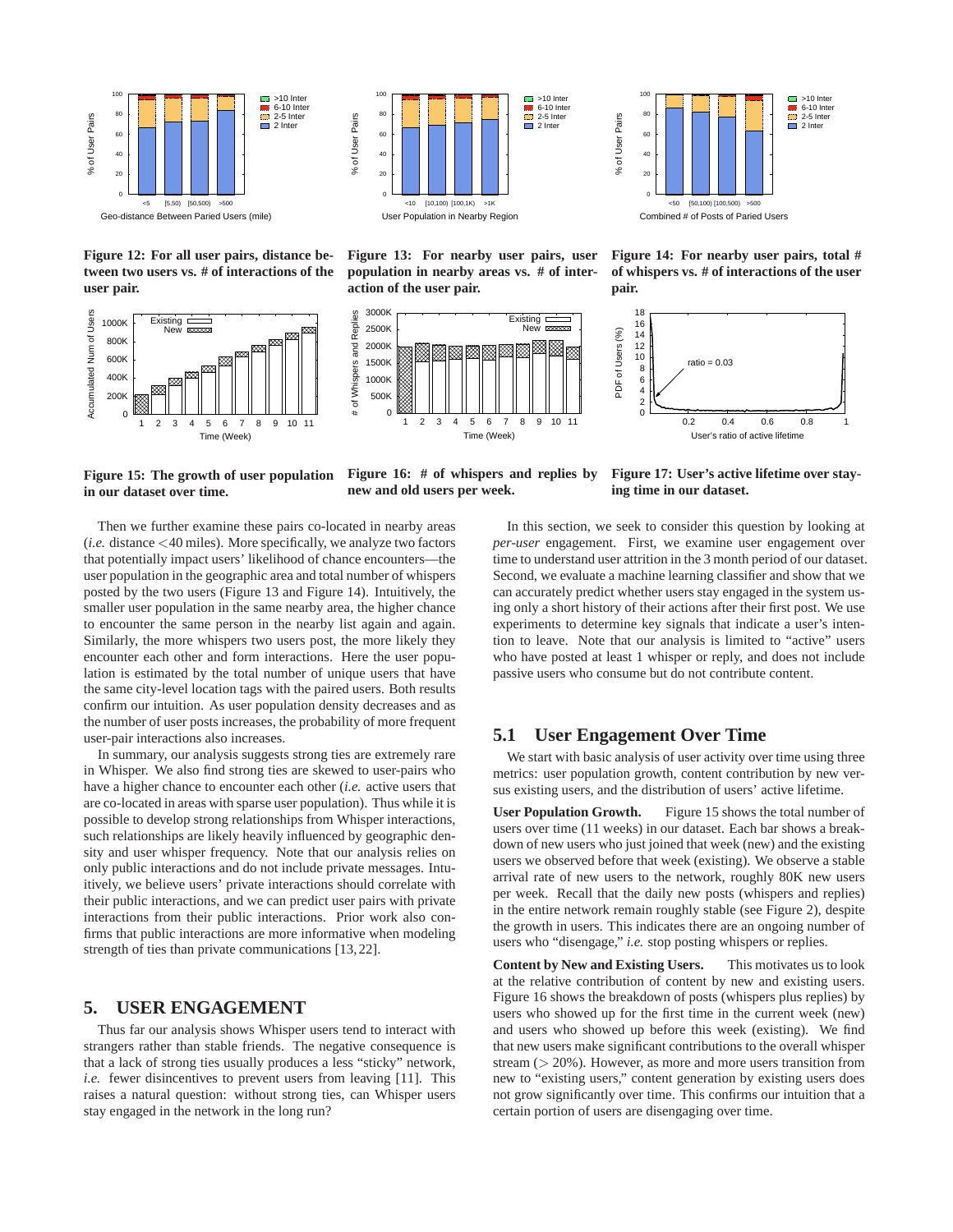

**Figure 12: For all user pairs, distance between two users vs. # of interactions of the user pair.**



**Figure 15: The growth of user population in our dataset over time.**



**Figure 13: For nearby user pairs, user population in nearby areas vs. # of interaction of the user pair.**





**Figure 14: For nearby user pairs, total # of whispers vs. # of interactions of the user pair.**



**Figure 16: # of whispers and replies by new and old users per week.**

**Figure 17: User's active lifetime over staying time in our dataset.**

Then we further examine these pairs co-located in nearby areas (*i.e.* distance <40 miles). More specifically, we analyze two factors that potentially impact users' likelihood of chance encounters—the user population in the geographic area and total number of whispers posted by the two users (Figure 13 and Figure 14). Intuitively, the smaller user population in the same nearby area, the higher chance to encounter the same person in the nearby list again and again. Similarly, the more whispers two users post, the more likely they encounter each other and form interactions. Here the user population is estimated by the total number of unique users that have the same city-level location tags with the paired users. Both results confirm our intuition. As user population density decreases and as the number of user posts increases, the probability of more frequent user-pair interactions also increases.

In summary, our analysis suggests strong ties are extremely rare in Whisper. We also find strong ties are skewed to user-pairs who have a higher chance to encounter each other (*i.e.* active users that are co-located in areas with sparse user population). Thus while it is possible to develop strong relationships from Whisper interactions, such relationships are likely heavily influenced by geographic density and user whisper frequency. Note that our analysis relies on only public interactions and do not include private messages. Intuitively, we believe users' private interactions should correlate with their public interactions, and we can predict user pairs with private interactions from their public interactions. Prior work also confirms that public interactions are more informative when modeling strength of ties than private communications [13, 22].

### **5. USER ENGAGEMENT**

Thus far our analysis shows Whisper users tend to interact with strangers rather than stable friends. The negative consequence is that a lack of strong ties usually produces a less "sticky" network, *i.e.* fewer disincentives to prevent users from leaving [11]. This raises a natural question: without strong ties, can Whisper users stay engaged in the network in the long run?

In this section, we seek to consider this question by looking at *per-user* engagement. First, we examine user engagement over time to understand user attrition in the 3 month period of our dataset. Second, we evaluate a machine learning classifier and show that we can accurately predict whether users stay engaged in the system using only a short history of their actions after their first post. We use experiments to determine key signals that indicate a user's intention to leave. Note that our analysis is limited to "active" users who have posted at least 1 whisper or reply, and does not include passive users who consume but do not contribute content.

# **5.1 User Engagement Over Time**

We start with basic analysis of user activity over time using three metrics: user population growth, content contribution by new versus existing users, and the distribution of users' active lifetime.

**User Population Growth.** Figure 15 shows the total number of users over time (11 weeks) in our dataset. Each bar shows a breakdown of new users who just joined that week (new) and the existing users we observed before that week (existing). We observe a stable arrival rate of new users to the network, roughly 80K new users per week. Recall that the daily new posts (whispers and replies) in the entire network remain roughly stable (see Figure 2), despite the growth in users. This indicates there are an ongoing number of users who "disengage," *i.e.* stop posting whispers or replies.

**Content by New and Existing Users.** This motivates us to look at the relative contribution of content by new and existing users. Figure 16 shows the breakdown of posts (whispers plus replies) by users who showed up for the first time in the current week (new) and users who showed up before this week (existing). We find that new users make significant contributions to the overall whisper stream  $(> 20\%)$ . However, as more and more users transition from new to "existing users," content generation by existing users does not grow significantly over time. This confirms our intuition that a certain portion of users are disengaging over time.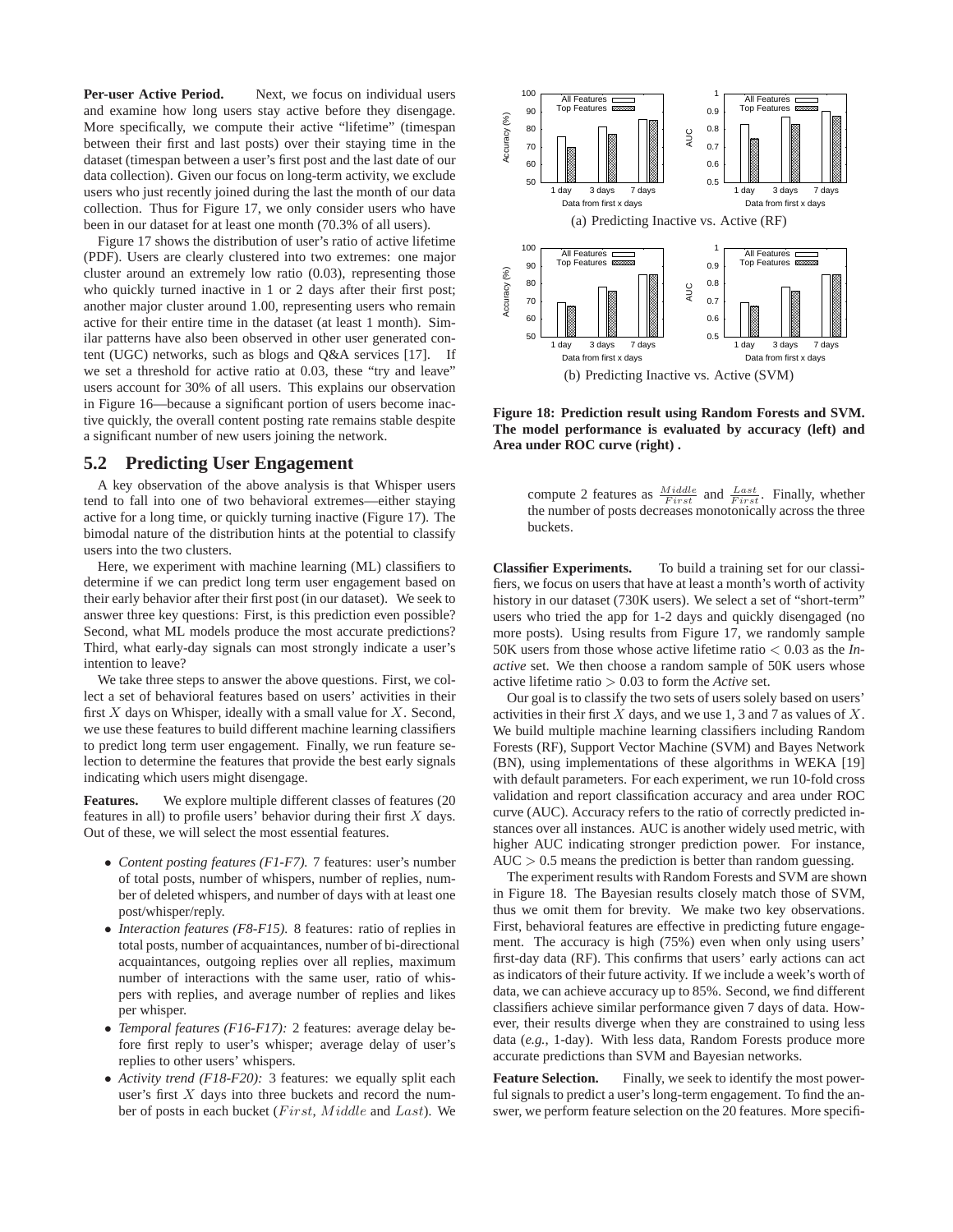Per-user Active Period. Next, we focus on individual users and examine how long users stay active before they disengage. More specifically, we compute their active "lifetime" (timespan between their first and last posts) over their staying time in the dataset (timespan between a user's first post and the last date of our data collection). Given our focus on long-term activity, we exclude users who just recently joined during the last the month of our data collection. Thus for Figure 17, we only consider users who have been in our dataset for at least one month (70.3% of all users).

Figure 17 shows the distribution of user's ratio of active lifetime (PDF). Users are clearly clustered into two extremes: one major cluster around an extremely low ratio (0.03), representing those who quickly turned inactive in 1 or 2 days after their first post; another major cluster around 1.00, representing users who remain active for their entire time in the dataset (at least 1 month). Similar patterns have also been observed in other user generated content (UGC) networks, such as blogs and Q&A services [17]. If we set a threshold for active ratio at 0.03, these "try and leave" users account for 30% of all users. This explains our observation in Figure 16—because a significant portion of users become inactive quickly, the overall content posting rate remains stable despite a significant number of new users joining the network.

### **5.2 Predicting User Engagement**

A key observation of the above analysis is that Whisper users tend to fall into one of two behavioral extremes—either staying active for a long time, or quickly turning inactive (Figure 17). The bimodal nature of the distribution hints at the potential to classify users into the two clusters.

Here, we experiment with machine learning (ML) classifiers to determine if we can predict long term user engagement based on their early behavior after their first post (in our dataset). We seek to answer three key questions: First, is this prediction even possible? Second, what ML models produce the most accurate predictions? Third, what early-day signals can most strongly indicate a user's intention to leave?

We take three steps to answer the above questions. First, we collect a set of behavioral features based on users' activities in their first  $X$  days on Whisper, ideally with a small value for  $X$ . Second, we use these features to build different machine learning classifiers to predict long term user engagement. Finally, we run feature selection to determine the features that provide the best early signals indicating which users might disengage.

**Features.** We explore multiple different classes of features (20 features in all) to profile users' behavior during their first  $X$  days. Out of these, we will select the most essential features.

- *Content posting features (F1-F7).* 7 features: user's number of total posts, number of whispers, number of replies, number of deleted whispers, and number of days with at least one post/whisper/reply.
- *Interaction features (F8-F15)*. 8 features: ratio of replies in total posts, number of acquaintances, number of bi-directional acquaintances, outgoing replies over all replies, maximum number of interactions with the same user, ratio of whispers with replies, and average number of replies and likes per whisper.
- *Temporal features (F16-F17):* 2 features: average delay before first reply to user's whisper; average delay of user's replies to other users' whispers.
- *Activity trend (F18-F20):* 3 features: we equally split each user's first  $X$  days into three buckets and record the number of posts in each bucket (First, Middle and Last). We



**Figure 18: Prediction result using Random Forests and SVM. The model performance is evaluated by accuracy (left) and Area under ROC curve (right) .**

compute 2 features as  $\frac{Midde}{First}$  and  $\frac{Last}{First}$ . Finally, whether the number of posts decreases monotonically across the three buckets.

**Classifier Experiments.** To build a training set for our classifiers, we focus on users that have at least a month's worth of activity history in our dataset (730K users). We select a set of "short-term" users who tried the app for 1-2 days and quickly disengaged (no more posts). Using results from Figure 17, we randomly sample 50K users from those whose active lifetime ratio < 0.03 as the *Inactive* set. We then choose a random sample of 50K users whose active lifetime ratio > 0.03 to form the *Active* set.

Our goal is to classify the two sets of users solely based on users' activities in their first  $X$  days, and we use 1, 3 and 7 as values of  $X$ . We build multiple machine learning classifiers including Random Forests (RF), Support Vector Machine (SVM) and Bayes Network (BN), using implementations of these algorithms in WEKA [19] with default parameters. For each experiment, we run 10-fold cross validation and report classification accuracy and area under ROC curve (AUC). Accuracy refers to the ratio of correctly predicted instances over all instances. AUC is another widely used metric, with higher AUC indicating stronger prediction power. For instance,  $AUC > 0.5$  means the prediction is better than random guessing.

The experiment results with Random Forests and SVM are shown in Figure 18. The Bayesian results closely match those of SVM, thus we omit them for brevity. We make two key observations. First, behavioral features are effective in predicting future engagement. The accuracy is high (75%) even when only using users' first-day data (RF). This confirms that users' early actions can act as indicators of their future activity. If we include a week's worth of data, we can achieve accuracy up to 85%. Second, we find different classifiers achieve similar performance given 7 days of data. However, their results diverge when they are constrained to using less data (*e.g.*, 1-day). With less data, Random Forests produce more accurate predictions than SVM and Bayesian networks.

Feature Selection. Finally, we seek to identify the most powerful signals to predict a user's long-term engagement. To find the answer, we perform feature selection on the 20 features. More specifi-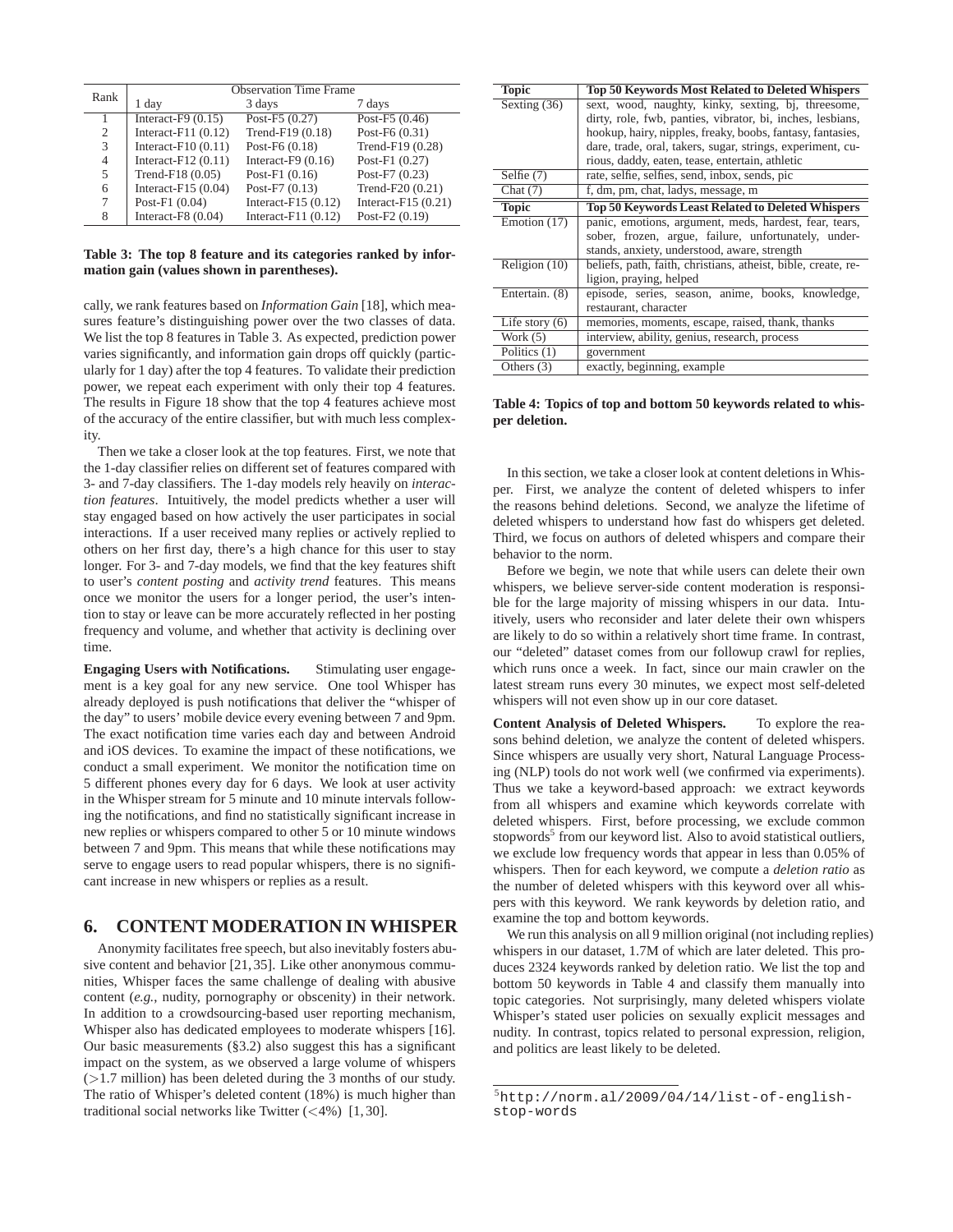|                | <b>Observation Time Frame</b> |                       |                       |  |  |  |
|----------------|-------------------------------|-----------------------|-----------------------|--|--|--|
| Rank           | 1 day                         | 3 days                | 7 days                |  |  |  |
|                | Interact- $F9(0.15)$          | Post-F5 (0.27)        | Post-F5 $(0.46)$      |  |  |  |
| $\overline{2}$ | Interact- $F11(0.12)$         | Trend-F19 (0.18)      | Post-F6 $(0.31)$      |  |  |  |
| 3              | Interact- $F10(0.11)$         | Post-F6 $(0.18)$      | Trend-F19 (0.28)      |  |  |  |
| 4              | Interact- $F12(0.11)$         | Interact- $F9(0.16)$  | Post-F1 $(0.27)$      |  |  |  |
| 5              | Trend-F18 (0.05)              | Post-F1 $(0.16)$      | Post-F7 $(0.23)$      |  |  |  |
| 6              | Interact- $F15(0.04)$         | Post-F7 $(0.13)$      | Trend-F20 (0.21)      |  |  |  |
| 7              | Post-F1 $(0.04)$              | Interact- $F15(0.12)$ | Interact- $F15(0.21)$ |  |  |  |
| 8              | Interact- $F8(0.04)$          | Interact- $F11(0.12)$ | Post-F2 $(0.19)$      |  |  |  |

**Table 3: The top 8 feature and its categories ranked by information gain (values shown in parentheses).**

cally, we rank features based on *Information Gain* [18], which measures feature's distinguishing power over the two classes of data. We list the top 8 features in Table 3. As expected, prediction power varies significantly, and information gain drops off quickly (particularly for 1 day) after the top 4 features. To validate their prediction power, we repeat each experiment with only their top 4 features. The results in Figure 18 show that the top 4 features achieve most of the accuracy of the entire classifier, but with much less complexity.

Then we take a closer look at the top features. First, we note that the 1-day classifier relies on different set of features compared with 3- and 7-day classifiers. The 1-day models rely heavily on *interaction features*. Intuitively, the model predicts whether a user will stay engaged based on how actively the user participates in social interactions. If a user received many replies or actively replied to others on her first day, there's a high chance for this user to stay longer. For 3- and 7-day models, we find that the key features shift to user's *content posting* and *activity trend* features. This means once we monitor the users for a longer period, the user's intention to stay or leave can be more accurately reflected in her posting frequency and volume, and whether that activity is declining over time.

**Engaging Users with Notifications.** Stimulating user engagement is a key goal for any new service. One tool Whisper has already deployed is push notifications that deliver the "whisper of the day" to users' mobile device every evening between 7 and 9pm. The exact notification time varies each day and between Android and iOS devices. To examine the impact of these notifications, we conduct a small experiment. We monitor the notification time on 5 different phones every day for 6 days. We look at user activity in the Whisper stream for 5 minute and 10 minute intervals following the notifications, and find no statistically significant increase in new replies or whispers compared to other 5 or 10 minute windows between 7 and 9pm. This means that while these notifications may serve to engage users to read popular whispers, there is no significant increase in new whispers or replies as a result.

# **6. CONTENT MODERATION IN WHISPER**

Anonymity facilitates free speech, but also inevitably fosters abusive content and behavior [21, 35]. Like other anonymous communities, Whisper faces the same challenge of dealing with abusive content (*e.g.*, nudity, pornography or obscenity) in their network. In addition to a crowdsourcing-based user reporting mechanism, Whisper also has dedicated employees to moderate whispers [16]. Our basic measurements (§3.2) also suggest this has a significant impact on the system, as we observed a large volume of whispers (>1.7 million) has been deleted during the 3 months of our study. The ratio of Whisper's deleted content (18%) is much higher than traditional social networks like Twitter (<4%) [1, 30].

| <b>Topic</b>     | <b>Top 50 Keywords Most Related to Deleted Whispers</b>       |
|------------------|---------------------------------------------------------------|
| Sexting $(36)$   | sext, wood, naughty, kinky, sexting, bj, threesome,           |
|                  | dirty, role, fwb, panties, vibrator, bi, inches, lesbians,    |
|                  | hookup, hairy, nipples, freaky, boobs, fantasy, fantasies,    |
|                  | dare, trade, oral, takers, sugar, strings, experiment, cu-    |
|                  | rious, daddy, eaten, tease, entertain, athletic               |
| Selfie $(7)$     | rate, selfie, selfies, send, inbox, sends, pic                |
| Chat $(7)$       | f, dm, pm, chat, ladys, message, m                            |
| <b>Topic</b>     | <b>Top 50 Keywords Least Related to Deleted Whispers</b>      |
| Emotion (17)     | panic, emotions, argument, meds, hardest, fear, tears,        |
|                  | sober, frozen, argue, failure, unfortunately, under-          |
|                  | stands, anxiety, understood, aware, strength                  |
| Religion (10)    | beliefs, path, faith, christians, atheist, bible, create, re- |
|                  | ligion, praying, helped                                       |
|                  |                                                               |
| Entertain. (8)   | episode, series, season, anime, books, knowledge,             |
|                  | restaurant, character                                         |
| Life story $(6)$ | memories, moments, escape, raised, thank, thanks              |
| Work $(5)$       | interview, ability, genius, research, process                 |
| Politics $(1)$   | government                                                    |

**Table 4: Topics of top and bottom 50 keywords related to whisper deletion.**

In this section, we take a closer look at content deletions in Whisper. First, we analyze the content of deleted whispers to infer the reasons behind deletions. Second, we analyze the lifetime of deleted whispers to understand how fast do whispers get deleted. Third, we focus on authors of deleted whispers and compare their behavior to the norm.

Before we begin, we note that while users can delete their own whispers, we believe server-side content moderation is responsible for the large majority of missing whispers in our data. Intuitively, users who reconsider and later delete their own whispers are likely to do so within a relatively short time frame. In contrast, our "deleted" dataset comes from our followup crawl for replies, which runs once a week. In fact, since our main crawler on the latest stream runs every 30 minutes, we expect most self-deleted whispers will not even show up in our core dataset.

**Content Analysis of Deleted Whispers.** To explore the reasons behind deletion, we analyze the content of deleted whispers. Since whispers are usually very short, Natural Language Processing (NLP) tools do not work well (we confirmed via experiments). Thus we take a keyword-based approach: we extract keywords from all whispers and examine which keywords correlate with deleted whispers. First, before processing, we exclude common stopwords<sup>5</sup> from our keyword list. Also to avoid statistical outliers, we exclude low frequency words that appear in less than 0.05% of whispers. Then for each keyword, we compute a *deletion ratio* as the number of deleted whispers with this keyword over all whispers with this keyword. We rank keywords by deletion ratio, and examine the top and bottom keywords.

We run this analysis on all 9 million original (not including replies) whispers in our dataset, 1.7M of which are later deleted. This produces 2324 keywords ranked by deletion ratio. We list the top and bottom 50 keywords in Table 4 and classify them manually into topic categories. Not surprisingly, many deleted whispers violate Whisper's stated user policies on sexually explicit messages and nudity. In contrast, topics related to personal expression, religion, and politics are least likely to be deleted.

 $5$ http://norm.al/2009/04/14/list-of-englishstop-words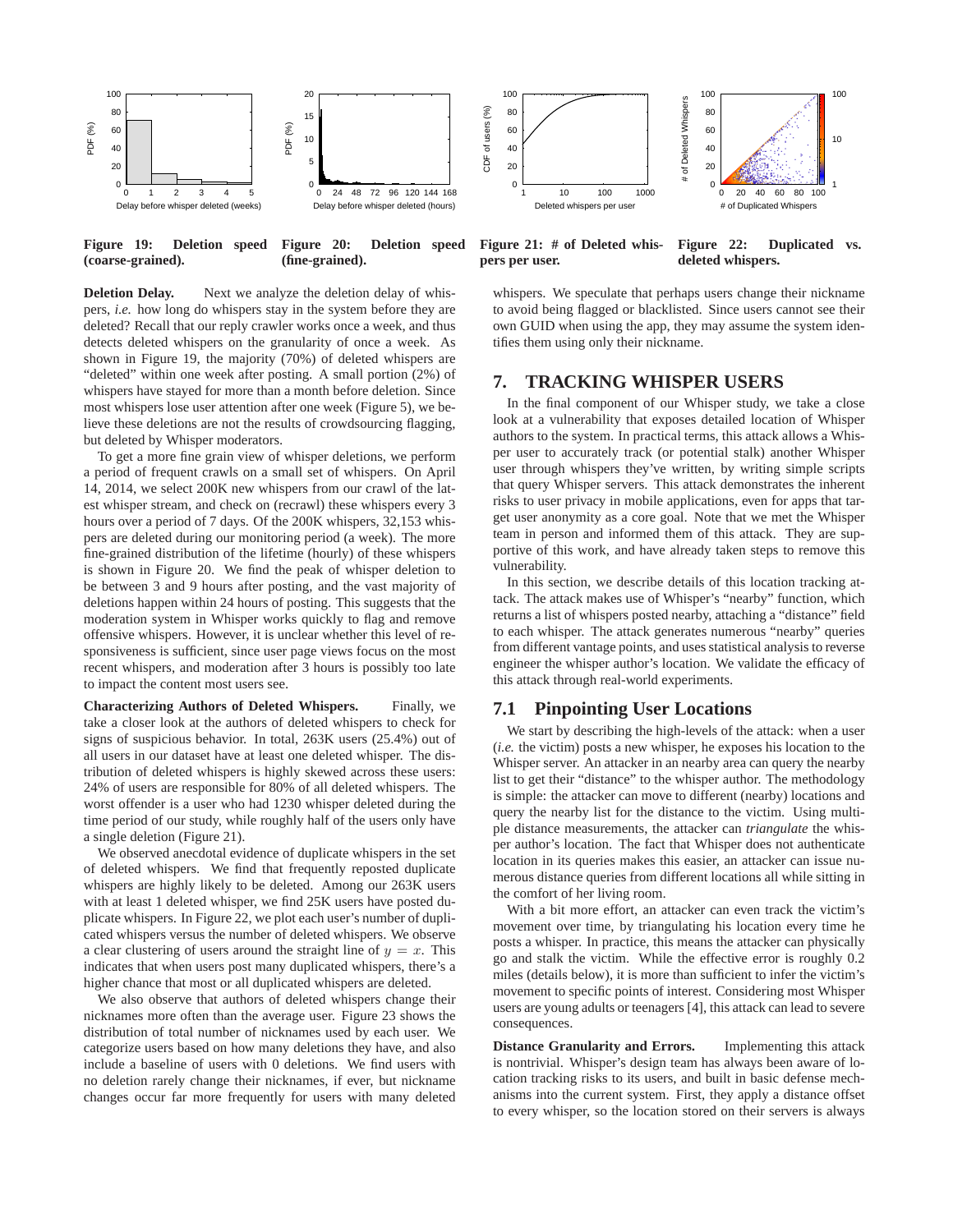

**Figure 19: Deletion speed (coarse-grained). Figure 20: Deletion speed (fine-grained).**

**Deletion Delay.** Next we analyze the deletion delay of whispers, *i.e.* how long do whispers stay in the system before they are deleted? Recall that our reply crawler works once a week, and thus detects deleted whispers on the granularity of once a week. As shown in Figure 19, the majority (70%) of deleted whispers are "deleted" within one week after posting. A small portion (2%) of whispers have stayed for more than a month before deletion. Since most whispers lose user attention after one week (Figure 5), we believe these deletions are not the results of crowdsourcing flagging, but deleted by Whisper moderators.

To get a more fine grain view of whisper deletions, we perform a period of frequent crawls on a small set of whispers. On April 14, 2014, we select 200K new whispers from our crawl of the latest whisper stream, and check on (recrawl) these whispers every 3 hours over a period of 7 days. Of the 200K whispers, 32,153 whispers are deleted during our monitoring period (a week). The more fine-grained distribution of the lifetime (hourly) of these whispers is shown in Figure 20. We find the peak of whisper deletion to be between 3 and 9 hours after posting, and the vast majority of deletions happen within 24 hours of posting. This suggests that the moderation system in Whisper works quickly to flag and remove offensive whispers. However, it is unclear whether this level of responsiveness is sufficient, since user page views focus on the most recent whispers, and moderation after 3 hours is possibly too late to impact the content most users see.

**Characterizing Authors of Deleted Whispers.** Finally, we take a closer look at the authors of deleted whispers to check for signs of suspicious behavior. In total, 263K users (25.4%) out of all users in our dataset have at least one deleted whisper. The distribution of deleted whispers is highly skewed across these users: 24% of users are responsible for 80% of all deleted whispers. The worst offender is a user who had 1230 whisper deleted during the time period of our study, while roughly half of the users only have a single deletion (Figure 21).

We observed anecdotal evidence of duplicate whispers in the set of deleted whispers. We find that frequently reposted duplicate whispers are highly likely to be deleted. Among our 263K users with at least 1 deleted whisper, we find 25K users have posted duplicate whispers. In Figure 22, we plot each user's number of duplicated whispers versus the number of deleted whispers. We observe a clear clustering of users around the straight line of  $y = x$ . This indicates that when users post many duplicated whispers, there's a higher chance that most or all duplicated whispers are deleted.

We also observe that authors of deleted whispers change their nicknames more often than the average user. Figure 23 shows the distribution of total number of nicknames used by each user. We categorize users based on how many deletions they have, and also include a baseline of users with 0 deletions. We find users with no deletion rarely change their nicknames, if ever, but nickname changes occur far more frequently for users with many deleted



**Figure 21: # of Deleted whispers per user.**

**Figure 22: Duplicated vs. deleted whispers.**

whispers. We speculate that perhaps users change their nickname to avoid being flagged or blacklisted. Since users cannot see their own GUID when using the app, they may assume the system identifies them using only their nickname.

### **7. TRACKING WHISPER USERS**

In the final component of our Whisper study, we take a close look at a vulnerability that exposes detailed location of Whisper authors to the system. In practical terms, this attack allows a Whisper user to accurately track (or potential stalk) another Whisper user through whispers they've written, by writing simple scripts that query Whisper servers. This attack demonstrates the inherent risks to user privacy in mobile applications, even for apps that target user anonymity as a core goal. Note that we met the Whisper team in person and informed them of this attack. They are supportive of this work, and have already taken steps to remove this vulnerability.

In this section, we describe details of this location tracking attack. The attack makes use of Whisper's "nearby" function, which returns a list of whispers posted nearby, attaching a "distance" field to each whisper. The attack generates numerous "nearby" queries from different vantage points, and uses statistical analysis to reverse engineer the whisper author's location. We validate the efficacy of this attack through real-world experiments.

### **7.1 Pinpointing User Locations**

We start by describing the high-levels of the attack: when a user (*i.e.* the victim) posts a new whisper, he exposes his location to the Whisper server. An attacker in an nearby area can query the nearby list to get their "distance" to the whisper author. The methodology is simple: the attacker can move to different (nearby) locations and query the nearby list for the distance to the victim. Using multiple distance measurements, the attacker can *triangulate* the whisper author's location. The fact that Whisper does not authenticate location in its queries makes this easier, an attacker can issue numerous distance queries from different locations all while sitting in the comfort of her living room.

With a bit more effort, an attacker can even track the victim's movement over time, by triangulating his location every time he posts a whisper. In practice, this means the attacker can physically go and stalk the victim. While the effective error is roughly 0.2 miles (details below), it is more than sufficient to infer the victim's movement to specific points of interest. Considering most Whisper users are young adults or teenagers [4], this attack can lead to severe consequences.

**Distance Granularity and Errors.** Implementing this attack is nontrivial. Whisper's design team has always been aware of location tracking risks to its users, and built in basic defense mechanisms into the current system. First, they apply a distance offset to every whisper, so the location stored on their servers is always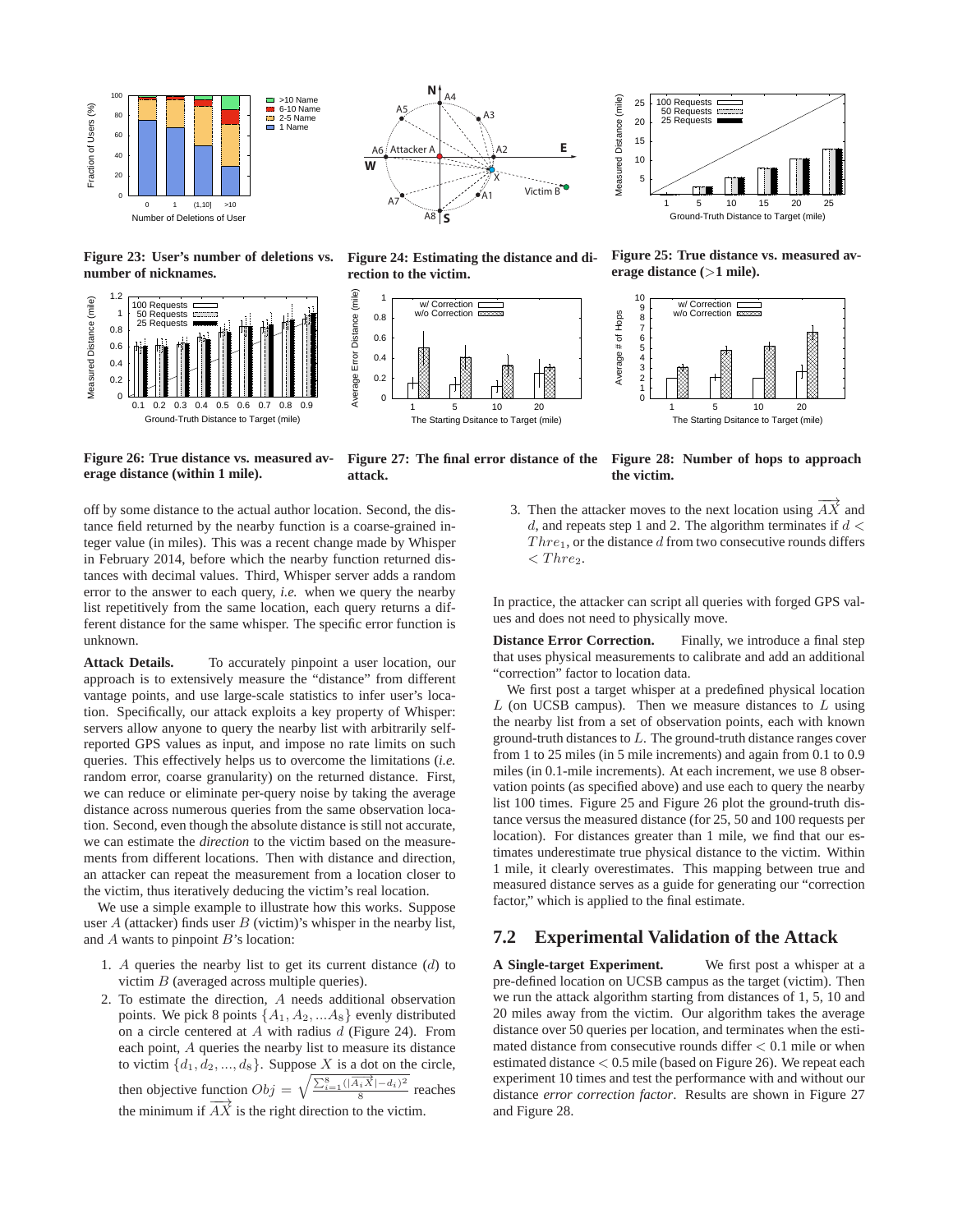



**Figure 23: User's number of deletions vs. number of nicknames.**



**Figure 24: Estimating the distance and direction to the victim.**





**Figure 25: True distance vs. measured average distance (**>**1 mile).**



**Figure 26: True distance vs. measured average distance (within 1 mile).**

**Figure 27: The final error distance of the attack.**

**Figure 28: Number of hops to approach the victim.**

off by some distance to the actual author location. Second, the distance field returned by the nearby function is a coarse-grained integer value (in miles). This was a recent change made by Whisper in February 2014, before which the nearby function returned distances with decimal values. Third, Whisper server adds a random error to the answer to each query, *i.e.* when we query the nearby list repetitively from the same location, each query returns a different distance for the same whisper. The specific error function is unknown.

Attack Details. To accurately pinpoint a user location, our approach is to extensively measure the "distance" from different vantage points, and use large-scale statistics to infer user's location. Specifically, our attack exploits a key property of Whisper: servers allow anyone to query the nearby list with arbitrarily selfreported GPS values as input, and impose no rate limits on such queries. This effectively helps us to overcome the limitations (*i.e.* random error, coarse granularity) on the returned distance. First, we can reduce or eliminate per-query noise by taking the average distance across numerous queries from the same observation location. Second, even though the absolute distance is still not accurate, we can estimate the *direction* to the victim based on the measurements from different locations. Then with distance and direction, an attacker can repeat the measurement from a location closer to the victim, thus iteratively deducing the victim's real location.

We use a simple example to illustrate how this works. Suppose user  $A$  (attacker) finds user  $B$  (victim)'s whisper in the nearby list, and  $A$  wants to pinpoint  $B$ 's location:

- 1. A queries the nearby list to get its current distance  $(d)$  to victim B (averaged across multiple queries).
- 2. To estimate the direction, A needs additional observation points. We pick 8 points  $\{A_1, A_2, ... A_8\}$  evenly distributed on a circle centered at  $A$  with radius  $d$  (Figure 24). From each point, A queries the nearby list to measure its distance to victim  $\{d_1, d_2, ..., d_8\}$ . Suppose X is a dot on the circle, then objective function  $Obj = \sqrt{\frac{\sum_{i=1}^{8} (|\overrightarrow{A_i} \overrightarrow{X}| - d_i)^2}{8}}$  $rac{a_1A - a_1}{8}$  reaches the minimum if  $\overrightarrow{AX}$  is the right direction to the victim.

3. Then the attacker moves to the next location using  $\overrightarrow{AX}$  and d, and repeats step 1 and 2. The algorithm terminates if  $d \leq$  $Three<sub>1</sub>$ , or the distance d from two consecutive rounds differs  $\langle$  Thre<sub>2</sub>.

In practice, the attacker can script all queries with forged GPS values and does not need to physically move.

**Distance Error Correction.** Finally, we introduce a final step that uses physical measurements to calibrate and add an additional "correction" factor to location data.

We first post a target whisper at a predefined physical location  $L$  (on UCSB campus). Then we measure distances to  $L$  using the nearby list from a set of observation points, each with known ground-truth distances to  $L$ . The ground-truth distance ranges cover from 1 to 25 miles (in 5 mile increments) and again from 0.1 to 0.9 miles (in 0.1-mile increments). At each increment, we use 8 observation points (as specified above) and use each to query the nearby list 100 times. Figure 25 and Figure 26 plot the ground-truth distance versus the measured distance (for 25, 50 and 100 requests per location). For distances greater than 1 mile, we find that our estimates underestimate true physical distance to the victim. Within 1 mile, it clearly overestimates. This mapping between true and measured distance serves as a guide for generating our "correction factor," which is applied to the final estimate.

## **7.2 Experimental Validation of the Attack**

**A Single-target Experiment.** We first post a whisper at a pre-defined location on UCSB campus as the target (victim). Then we run the attack algorithm starting from distances of 1, 5, 10 and 20 miles away from the victim. Our algorithm takes the average distance over 50 queries per location, and terminates when the estimated distance from consecutive rounds differ  $< 0.1$  mile or when estimated distance < 0.5 mile (based on Figure 26). We repeat each experiment 10 times and test the performance with and without our distance *error correction factor*. Results are shown in Figure 27 and Figure 28.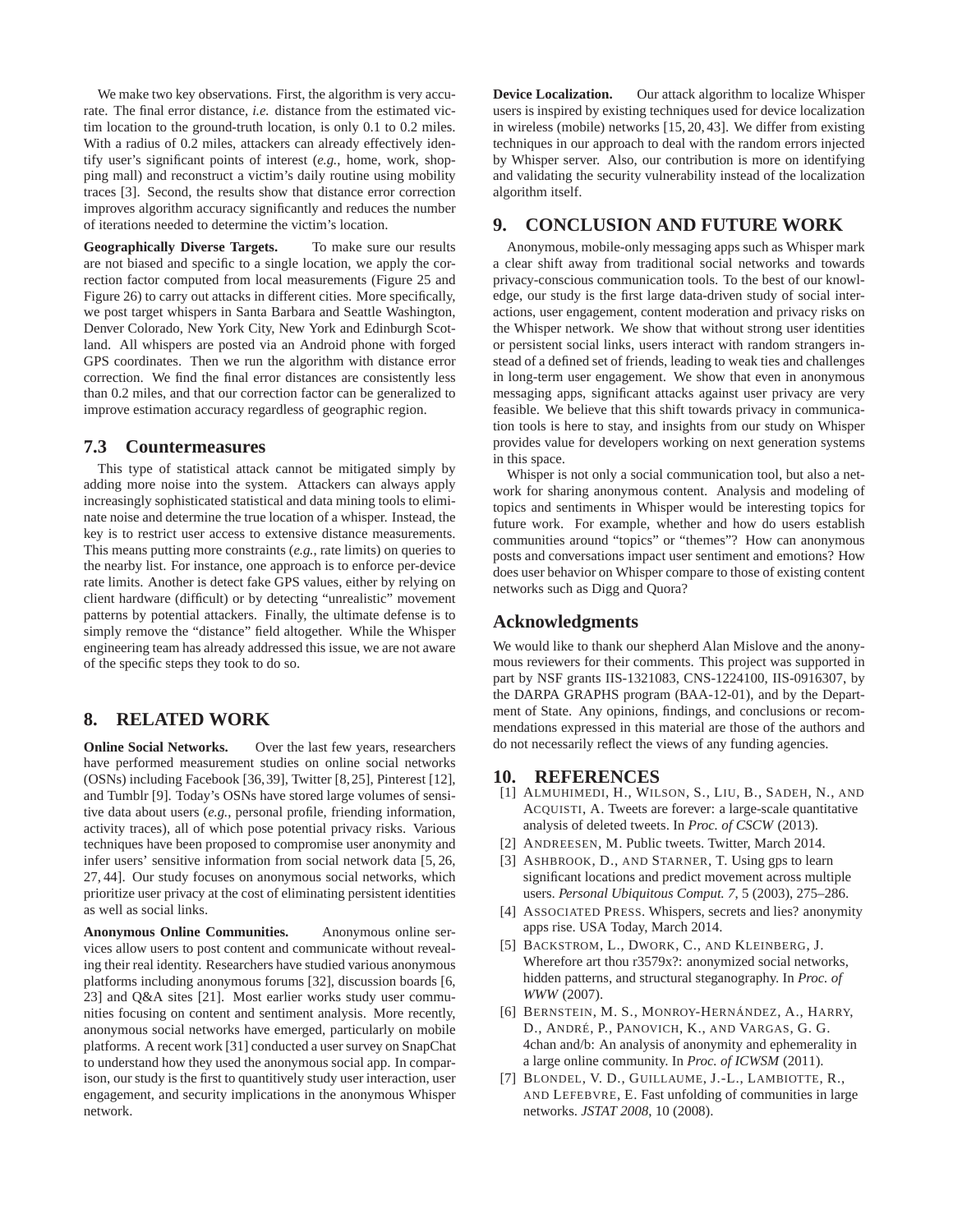We make two key observations. First, the algorithm is very accurate. The final error distance, *i.e.* distance from the estimated victim location to the ground-truth location, is only 0.1 to 0.2 miles. With a radius of 0.2 miles, attackers can already effectively identify user's significant points of interest (*e.g.*, home, work, shopping mall) and reconstruct a victim's daily routine using mobility traces [3]. Second, the results show that distance error correction improves algorithm accuracy significantly and reduces the number of iterations needed to determine the victim's location.

**Geographically Diverse Targets.** To make sure our results are not biased and specific to a single location, we apply the correction factor computed from local measurements (Figure 25 and Figure 26) to carry out attacks in different cities. More specifically, we post target whispers in Santa Barbara and Seattle Washington, Denver Colorado, New York City, New York and Edinburgh Scotland. All whispers are posted via an Android phone with forged GPS coordinates. Then we run the algorithm with distance error correction. We find the final error distances are consistently less than 0.2 miles, and that our correction factor can be generalized to improve estimation accuracy regardless of geographic region.

### **7.3 Countermeasures**

This type of statistical attack cannot be mitigated simply by adding more noise into the system. Attackers can always apply increasingly sophisticated statistical and data mining tools to eliminate noise and determine the true location of a whisper. Instead, the key is to restrict user access to extensive distance measurements. This means putting more constraints (*e.g.*, rate limits) on queries to the nearby list. For instance, one approach is to enforce per-device rate limits. Another is detect fake GPS values, either by relying on client hardware (difficult) or by detecting "unrealistic" movement patterns by potential attackers. Finally, the ultimate defense is to simply remove the "distance" field altogether. While the Whisper engineering team has already addressed this issue, we are not aware of the specific steps they took to do so.

# **8. RELATED WORK**

**Online Social Networks.** Over the last few years, researchers have performed measurement studies on online social networks (OSNs) including Facebook [36,39], Twitter [8,25], Pinterest [12], and Tumblr [9]. Today's OSNs have stored large volumes of sensitive data about users (*e.g.*, personal profile, friending information, activity traces), all of which pose potential privacy risks. Various techniques have been proposed to compromise user anonymity and infer users' sensitive information from social network data [5, 26, 27, 44]. Our study focuses on anonymous social networks, which prioritize user privacy at the cost of eliminating persistent identities as well as social links.

**Anonymous Online Communities.** Anonymous online services allow users to post content and communicate without revealing their real identity. Researchers have studied various anonymous platforms including anonymous forums [32], discussion boards [6, 23] and Q&A sites [21]. Most earlier works study user communities focusing on content and sentiment analysis. More recently, anonymous social networks have emerged, particularly on mobile platforms. A recent work [31] conducted a user survey on SnapChat to understand how they used the anonymous social app. In comparison, our study is the first to quantitively study user interaction, user engagement, and security implications in the anonymous Whisper network.

**Device Localization.** Our attack algorithm to localize Whisper users is inspired by existing techniques used for device localization in wireless (mobile) networks [15, 20, 43]. We differ from existing techniques in our approach to deal with the random errors injected by Whisper server. Also, our contribution is more on identifying and validating the security vulnerability instead of the localization algorithm itself.

### **9. CONCLUSION AND FUTURE WORK**

Anonymous, mobile-only messaging apps such as Whisper mark a clear shift away from traditional social networks and towards privacy-conscious communication tools. To the best of our knowledge, our study is the first large data-driven study of social interactions, user engagement, content moderation and privacy risks on the Whisper network. We show that without strong user identities or persistent social links, users interact with random strangers instead of a defined set of friends, leading to weak ties and challenges in long-term user engagement. We show that even in anonymous messaging apps, significant attacks against user privacy are very feasible. We believe that this shift towards privacy in communication tools is here to stay, and insights from our study on Whisper provides value for developers working on next generation systems in this space.

Whisper is not only a social communication tool, but also a network for sharing anonymous content. Analysis and modeling of topics and sentiments in Whisper would be interesting topics for future work. For example, whether and how do users establish communities around "topics" or "themes"? How can anonymous posts and conversations impact user sentiment and emotions? How does user behavior on Whisper compare to those of existing content networks such as Digg and Quora?

# **Acknowledgments**

We would like to thank our shepherd Alan Mislove and the anonymous reviewers for their comments. This project was supported in part by NSF grants IIS-1321083, CNS-1224100, IIS-0916307, by the DARPA GRAPHS program (BAA-12-01), and by the Department of State. Any opinions, findings, and conclusions or recommendations expressed in this material are those of the authors and do not necessarily reflect the views of any funding agencies.

### **10. REFERENCES**

- [1] ALMUHIMEDI, H., WILSON, S., LIU, B., SADEH, N., AND ACQUISTI, A. Tweets are forever: a large-scale quantitative analysis of deleted tweets. In *Proc. of CSCW* (2013).
- [2] ANDREESEN, M. Public tweets. Twitter, March 2014.
- [3] ASHBROOK, D., AND STARNER, T. Using gps to learn significant locations and predict movement across multiple users. *Personal Ubiquitous Comput. 7*, 5 (2003), 275–286.
- [4] ASSOCIATED PRESS. Whispers, secrets and lies? anonymity apps rise. USA Today, March 2014.
- [5] BACKSTROM, L., DWORK, C., AND KLEINBERG, J. Wherefore art thou r3579x?: anonymized social networks, hidden patterns, and structural steganography. In *Proc. of WWW* (2007).
- [6] BERNSTEIN, M. S., MONROY-HERNÁNDEZ, A., HARRY, D., ANDRÉ, P., PANOVICH, K., AND VARGAS, G. G. 4chan and/b: An analysis of anonymity and ephemerality in a large online community. In *Proc. of ICWSM* (2011).
- [7] BLONDEL, V. D., GUILLAUME, J.-L., LAMBIOTTE, R., AND LEFEBVRE, E. Fast unfolding of communities in large networks. *JSTAT 2008*, 10 (2008).